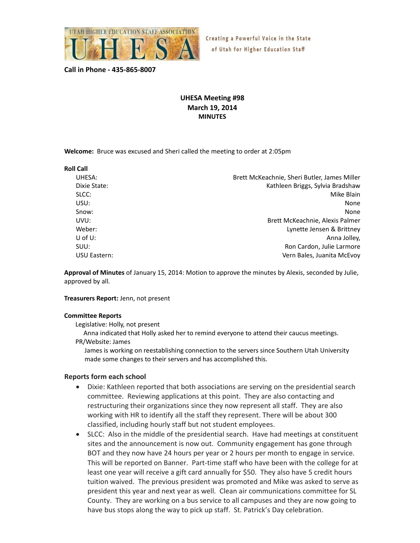

Creating a Powerful Voice in the State of Utah for Higher Education Staff

**Call in Phone ‐ 435‐865‐8007**

## **UHESA Meeting #98 March 19, 2014 MINUTES**

**Welcome:** Bruce was excused and Sheri called the meeting to order at 2:05pm

| <b>Roll Call</b> |                                              |
|------------------|----------------------------------------------|
| UHESA:           | Brett McKeachnie, Sheri Butler, James Miller |
| Dixie State:     | Kathleen Briggs, Sylvia Bradshaw             |
| SLCC:            | Mike Blain                                   |
| USU:             | None                                         |
| Snow:            | None                                         |
| UVU:             | Brett McKeachnie, Alexis Palmer              |
| Weber:           | Lynette Jensen & Brittney                    |
| U of $U$ :       | Anna Jolley,                                 |
| SUU:             | Ron Cardon, Julie Larmore                    |
| USU Eastern:     | Vern Bales, Juanita McEvoy                   |

**Approval of Minutes** of January 15, 2014: Motion to approve the minutes by Alexis, seconded by Julie, approved by all.

## **Treasurers Report:** Jenn, not present

## **Committee Reports**

Legislative: Holly, not present

 Anna indicated that Holly asked her to remind everyone to attend their caucus meetings. PR/Website: James

James is working on reestablishing connection to the servers since Southern Utah University made some changes to their servers and has accomplished this.

## **Reports form each school**

- Dixie: Kathleen reported that both associations are serving on the presidential search committee. Reviewing applications at this point. They are also contacting and restructuring their organizations since they now represent all staff. They are also working with HR to identify all the staff they represent. There will be about 300 classified, including hourly staff but not student employees.
- SLCC: Also in the middle of the presidential search. Have had meetings at constituent sites and the announcement is now out. Community engagement has gone through BOT and they now have 24 hours per year or 2 hours per month to engage in service. This will be reported on Banner. Part‐time staff who have been with the college for at least one year will receive a gift card annually for \$50. They also have 5 credit hours tuition waived. The previous president was promoted and Mike was asked to serve as president this year and next year as well. Clean air communications committee for SL County. They are working on a bus service to all campuses and they are now going to have bus stops along the way to pick up staff. St. Patrick's Day celebration.